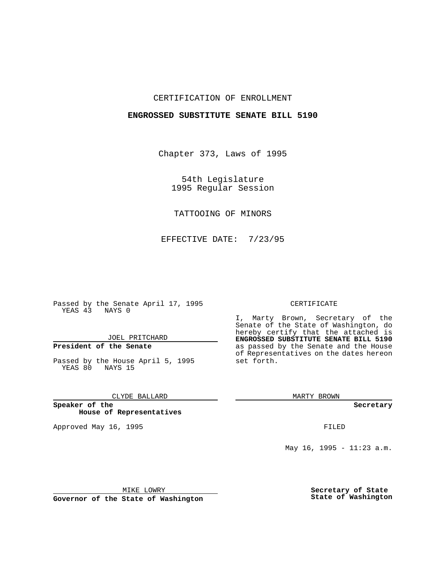### CERTIFICATION OF ENROLLMENT

### **ENGROSSED SUBSTITUTE SENATE BILL 5190**

Chapter 373, Laws of 1995

54th Legislature 1995 Regular Session

# TATTOOING OF MINORS

EFFECTIVE DATE: 7/23/95

Passed by the Senate April 17, 1995 YEAS 43 NAYS 0

JOEL PRITCHARD

# **President of the Senate**

Passed by the House April 5, 1995 YEAS 80 NAYS 15

### CLYDE BALLARD

**Speaker of the House of Representatives**

Approved May 16, 1995 FILED

#### CERTIFICATE

I, Marty Brown, Secretary of the Senate of the State of Washington, do hereby certify that the attached is **ENGROSSED SUBSTITUTE SENATE BILL 5190** as passed by the Senate and the House of Representatives on the dates hereon set forth.

MARTY BROWN

**Secretary**

May 16, 1995 - 11:23 a.m.

MIKE LOWRY

**Governor of the State of Washington**

**Secretary of State State of Washington**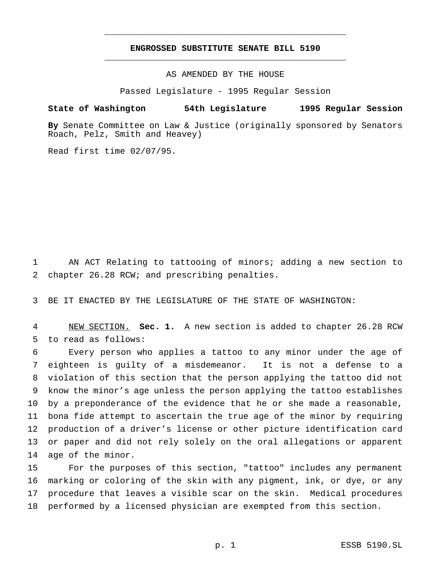## **ENGROSSED SUBSTITUTE SENATE BILL 5190** \_\_\_\_\_\_\_\_\_\_\_\_\_\_\_\_\_\_\_\_\_\_\_\_\_\_\_\_\_\_\_\_\_\_\_\_\_\_\_\_\_\_\_\_\_\_\_

\_\_\_\_\_\_\_\_\_\_\_\_\_\_\_\_\_\_\_\_\_\_\_\_\_\_\_\_\_\_\_\_\_\_\_\_\_\_\_\_\_\_\_\_\_\_\_

AS AMENDED BY THE HOUSE

Passed Legislature - 1995 Regular Session

#### **State of Washington 54th Legislature 1995 Regular Session**

**By** Senate Committee on Law & Justice (originally sponsored by Senators Roach, Pelz, Smith and Heavey)

Read first time 02/07/95.

 AN ACT Relating to tattooing of minors; adding a new section to chapter 26.28 RCW; and prescribing penalties.

BE IT ENACTED BY THE LEGISLATURE OF THE STATE OF WASHINGTON:

 NEW SECTION. **Sec. 1.** A new section is added to chapter 26.28 RCW to read as follows:

 Every person who applies a tattoo to any minor under the age of eighteen is guilty of a misdemeanor. It is not a defense to a violation of this section that the person applying the tattoo did not know the minor's age unless the person applying the tattoo establishes by a preponderance of the evidence that he or she made a reasonable, bona fide attempt to ascertain the true age of the minor by requiring production of a driver's license or other picture identification card or paper and did not rely solely on the oral allegations or apparent age of the minor.

 For the purposes of this section, "tattoo" includes any permanent marking or coloring of the skin with any pigment, ink, or dye, or any procedure that leaves a visible scar on the skin. Medical procedures performed by a licensed physician are exempted from this section.